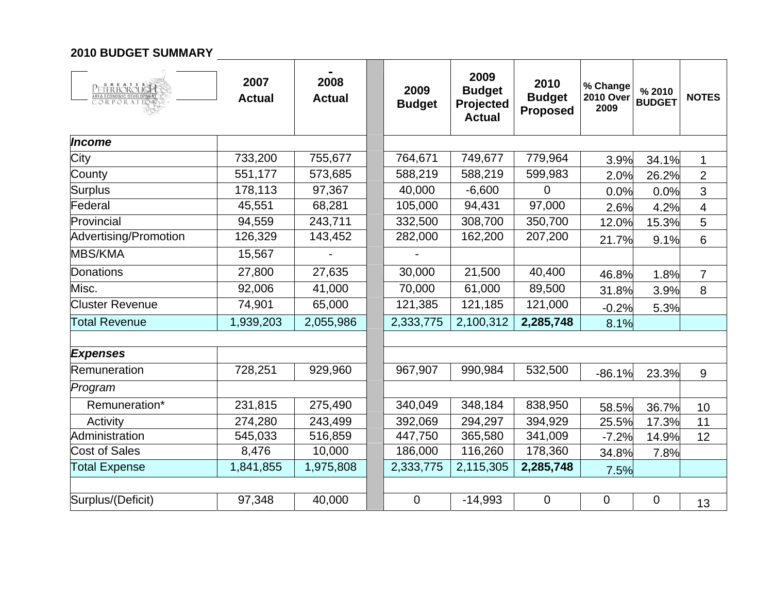#### **2010 BUDGET SUMMARY**

| <b>PETERBOROUGH</b>    | 2007<br><b>Actual</b> | 2008<br><b>Actual</b> | 2009<br><b>Budget</b> | 2009<br><b>Budget</b><br>Projected<br><b>Actual</b> | 2010<br><b>Budget</b><br><b>Proposed</b> | % Change<br><b>2010 Over</b><br>2009 | % 2010<br><b>BUDGET</b> | <b>NOTES</b>            |
|------------------------|-----------------------|-----------------------|-----------------------|-----------------------------------------------------|------------------------------------------|--------------------------------------|-------------------------|-------------------------|
| Income                 |                       |                       |                       |                                                     |                                          |                                      |                         |                         |
| City                   | 733,200               | 755,677               | 764,671               | 749,677                                             | 779,964                                  | 3.9%                                 | 34.1%                   | 1                       |
| County                 | 551,177               | 573,685               | 588,219               | 588,219                                             | 599,983                                  | 2.0%                                 | 26.2%                   | $\overline{2}$          |
| <b>Surplus</b>         | 178,113               | 97,367                | 40,000                | $-6,600$                                            | 0                                        | 0.0%                                 | 0.0%                    | 3                       |
| Federal                | 45,551                | 68,281                | 105,000               | 94,431                                              | 97,000                                   | 2.6%                                 | 4.2%                    | $\overline{\mathbf{4}}$ |
| Provincial             | 94,559                | 243,711               | 332,500               | 308,700                                             | 350,700                                  | 12.0%                                | 15.3%                   | 5                       |
| Advertising/Promotion  | 126,329               | 143,452               | 282,000               | 162,200                                             | 207,200                                  | 21.7%                                | 9.1%                    | $6\,$                   |
| <b>MBS/KMA</b>         | 15,567                |                       |                       |                                                     |                                          |                                      |                         |                         |
| Donations              | 27,800                | 27,635                | 30,000                | 21,500                                              | 40,400                                   | 46.8%                                | 1.8%                    | $\overline{7}$          |
| Misc.                  | 92,006                | 41,000                | 70,000                | 61,000                                              | 89,500                                   | 31.8%                                | 3.9%                    | 8                       |
| <b>Cluster Revenue</b> | 74,901                | 65,000                | 121,385               | 121,185                                             | 121,000                                  | $-0.2%$                              | 5.3%                    |                         |
| <b>Total Revenue</b>   | 1,939,203             | 2,055,986             | 2,333,775             | 2,100,312                                           | 2,285,748                                | 8.1%                                 |                         |                         |
|                        |                       |                       |                       |                                                     |                                          |                                      |                         |                         |
| <b>Expenses</b>        |                       |                       |                       |                                                     |                                          |                                      |                         |                         |
| Remuneration           | 728,251               | 929,960               | 967,907               | 990,984                                             | 532,500                                  | $-86.1%$                             | 23.3%                   | 9                       |
| Program                |                       |                       |                       |                                                     |                                          |                                      |                         |                         |
| Remuneration*          | 231,815               | 275,490               | 340,049               | 348,184                                             | 838,950                                  | 58.5%                                | 36.7%                   | 10                      |
| Activity               | 274,280               | 243,499               | 392,069               | 294,297                                             | 394,929                                  | 25.5%                                | 17.3%                   | 11                      |
| Administration         | 545,033               | 516,859               | 447,750               | 365,580                                             | 341,009                                  | $-7.2%$                              | 14.9%                   | 12                      |
| <b>Cost of Sales</b>   | 8,476                 | 10,000                | 186,000               | 116,260                                             | 178,360                                  | 34.8%                                | 7.8%                    |                         |
| <b>Total Expense</b>   | 1,841,855             | 1,975,808             | 2,333,775             | 2,115,305                                           | 2,285,748                                | 7.5%                                 |                         |                         |
|                        |                       |                       |                       |                                                     |                                          |                                      |                         |                         |
| Surplus/(Deficit)      | 97,348                | 40,000                | 0                     | $-14,993$                                           | 0                                        | 0                                    | 0                       | 13                      |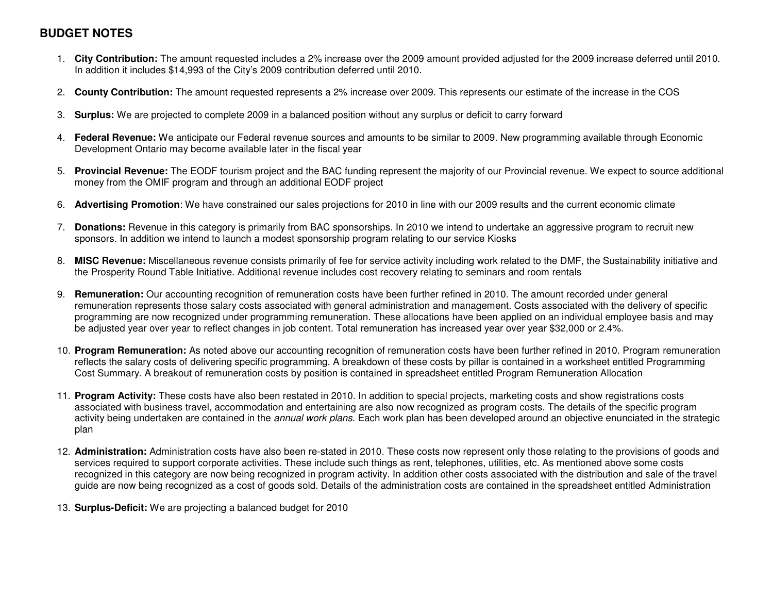# **BUDGET NOTES**

- 1. **City Contribution:** The amount requested includes a 2% increase over the 2009 amount provided adjusted for the 2009 increase deferred until 2010. In addition it includes \$14,993 of the City's 2009 contribution deferred until 2010.
- 2. **County Contribution:** The amount requested represents a 2% increase over 2009. This represents our estimate of the increase in the COS
- 3. **Surplus:** We are projected to complete 2009 in a balanced position without any surplus or deficit to carry forward
- 4. **Federal Revenue:** We anticipate our Federal revenue sources and amounts to be similar to 2009. New programming available through Economic Development Ontario may become available later in the fiscal year
- 5. **Provincial Revenue:** The EODF tourism project and the BAC funding represent the majority of our Provincial revenue. We expect to source additional money from the OMIF program and through an additional EODF project
- 6. **Advertising Promotion**: We have constrained our sales projections for 2010 in line with our 2009 results and the current economic climate
- 7. **Donations:** Revenue in this category is primarily from BAC sponsorships. In 2010 we intend to undertake an aggressive program to recruit new sponsors. In addition we intend to launch a modest sponsorship program relating to our service Kiosks
- 8. **MISC Revenue:** Miscellaneous revenue consists primarily of fee for service activity including work related to the DMF, the Sustainability initiative and the Prosperity Round Table Initiative. Additional revenue includes cost recovery relating to seminars and room rentals
- 9. **Remuneration:** Our accounting recognition of remuneration costs have been further refined in 2010. The amount recorded under general remuneration represents those salary costs associated with general administration and management. Costs associated with the delivery of specific programming are now recognized under programming remuneration. These allocations have been applied on an individual employee basis and may be adjusted year over year to reflect changes in job content. Total remuneration has increased year over year \$32,000 or 2.4%.
- 10. **Program Remuneration:** As noted above our accounting recognition of remuneration costs have been further refined in 2010. Program remuneration reflects the salary costs of delivering specific programming. A breakdown of these costs by pillar is contained in a worksheet entitled Programming Cost Summary. A breakout of remuneration costs by position is contained in spreadsheet entitled Program Remuneration Allocation
- 11. **Program Activity:** These costs have also been restated in 2010. In addition to special projects, marketing costs and show registrations costs associated with business travel, accommodation and entertaining are also now recognized as program costs. The details of the specific program activity being undertaken are contained in the annual work plans. Each work plan has been developed around an objective enunciated in the strategic plan
- 12. **Administration:** Administration costs have also been re-stated in 2010. These costs now represent only those relating to the provisions of goods and services required to support corporate activities. These include such things as rent, telephones, utilities, etc. As mentioned above some costs recognized in this category are now being recognized in program activity. In addition other costs associated with the distribution and sale of the travelguide are now being recognized as a cost of goods sold. Details of the administration costs are contained in the spreadsheet entitled Administration
- 13. **Surplus-Deficit:** We are projecting a balanced budget for 2010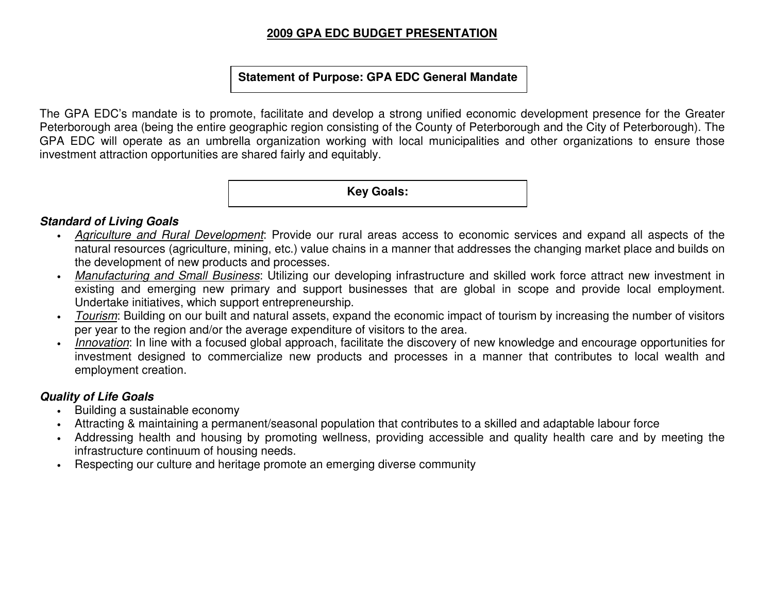#### **2009 GPA EDC BUDGET PRESENTATION**

#### **Statement of Purpose: GPA EDC General Mandate**

The GPA EDC's mandate is to promote, facilitate and develop a strong unified economic development presence for the Greater Peterborough area (being the entire geographic region consisting of the County of Peterborough and the City of Peterborough). The GPA EDC will operate as an umbrella organization working with local municipalities and other organizations to ensure those investment attraction opportunities are shared fairly and equitably.

**Key Goals:** 

#### **Standard of Living Goals**

- Agriculture and Rural Development: Provide our rural areas access to economic services and expand all aspects of the natural resources (agriculture, mining, etc.) value chains in a manner that addresses the changing market place and builds on the development of new products and processes.
- Manufacturing and Small Business: Utilizing our developing infrastructure and skilled work force attract new investment in existing and emerging new primary and support businesses that are global in scope and provide local employment. Undertake initiatives, which support entrepreneurship.
- *Tourism*: Building on our built and natural assets, expand the economic impact of tourism by increasing the number of visitors per year to the region and/or the average expenditure of visitors to the area.
- Innovation: In line with a focused global approach, facilitate the discovery of new knowledge and encourage opportunities for investment designed to commercialize new products and processes in a manner that contributes to local wealth and employment creation.

#### **Quality of Life Goals**

- Building a sustainable economy
- Attracting & maintaining a permanent/seasonal population that contributes to a skilled and adaptable labour force
- Addressing health and housing by promoting wellness, providing accessible and quality health care and by meeting the infrastructure continuum of housing needs.
- Respecting our culture and heritage promote an emerging diverse community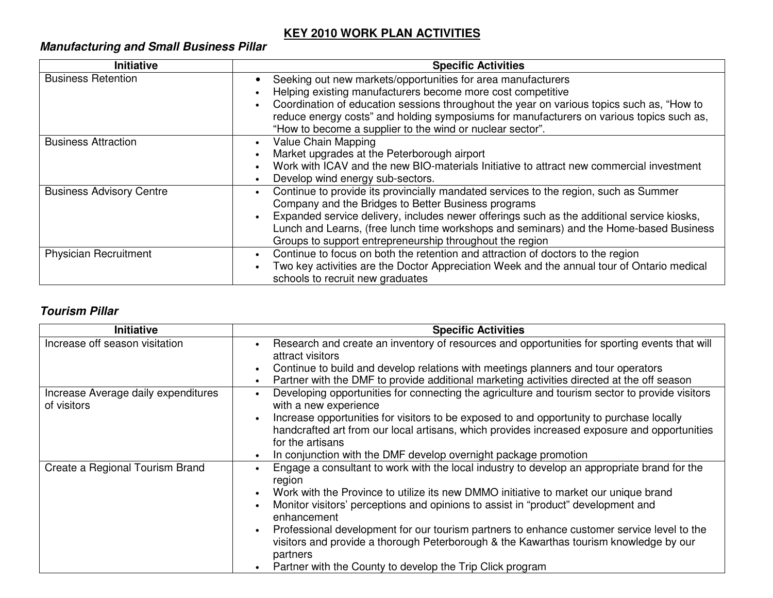# **KEY 2010 WORK PLAN ACTIVITIES**

# **Manufacturing and Small Business Pillar**

| <b>Initiative</b>               | <b>Specific Activities</b>                                                                 |
|---------------------------------|--------------------------------------------------------------------------------------------|
| <b>Business Retention</b>       | Seeking out new markets/opportunities for area manufacturers                               |
|                                 | Helping existing manufacturers become more cost competitive                                |
|                                 | Coordination of education sessions throughout the year on various topics such as, "How to  |
|                                 | reduce energy costs" and holding symposiums for manufacturers on various topics such as,   |
|                                 | "How to become a supplier to the wind or nuclear sector".                                  |
| <b>Business Attraction</b>      | Value Chain Mapping                                                                        |
|                                 | Market upgrades at the Peterborough airport                                                |
|                                 | Work with ICAV and the new BIO-materials Initiative to attract new commercial investment   |
|                                 | Develop wind energy sub-sectors.                                                           |
| <b>Business Advisory Centre</b> | Continue to provide its provincially mandated services to the region, such as Summer       |
|                                 | Company and the Bridges to Better Business programs                                        |
|                                 | Expanded service delivery, includes newer offerings such as the additional service kiosks, |
|                                 | Lunch and Learns, (free lunch time workshops and seminars) and the Home-based Business     |
|                                 | Groups to support entrepreneurship throughout the region                                   |
| Physician Recruitment           | Continue to focus on both the retention and attraction of doctors to the region            |
|                                 | Two key activities are the Doctor Appreciation Week and the annual tour of Ontario medical |
|                                 | schools to recruit new graduates                                                           |

# **Tourism Pillar**

| <b>Initiative</b>                                  | <b>Specific Activities</b>                                                                                                                                                                      |
|----------------------------------------------------|-------------------------------------------------------------------------------------------------------------------------------------------------------------------------------------------------|
| Increase off season visitation                     | Research and create an inventory of resources and opportunities for sporting events that will<br>attract visitors                                                                               |
|                                                    | Continue to build and develop relations with meetings planners and tour operators                                                                                                               |
|                                                    | Partner with the DMF to provide additional marketing activities directed at the off season                                                                                                      |
| Increase Average daily expenditures<br>of visitors | Developing opportunities for connecting the agriculture and tourism sector to provide visitors<br>with a new experience                                                                         |
|                                                    | Increase opportunities for visitors to be exposed to and opportunity to purchase locally                                                                                                        |
|                                                    | handcrafted art from our local artisans, which provides increased exposure and opportunities                                                                                                    |
|                                                    | for the artisans                                                                                                                                                                                |
|                                                    | In conjunction with the DMF develop overnight package promotion                                                                                                                                 |
| Create a Regional Tourism Brand                    | Engage a consultant to work with the local industry to develop an appropriate brand for the<br>region                                                                                           |
|                                                    | Work with the Province to utilize its new DMMO initiative to market our unique brand                                                                                                            |
|                                                    | Monitor visitors' perceptions and opinions to assist in "product" development and<br>enhancement                                                                                                |
|                                                    | Professional development for our tourism partners to enhance customer service level to the<br>visitors and provide a thorough Peterborough & the Kawarthas tourism knowledge by our<br>partners |
|                                                    | Partner with the County to develop the Trip Click program                                                                                                                                       |